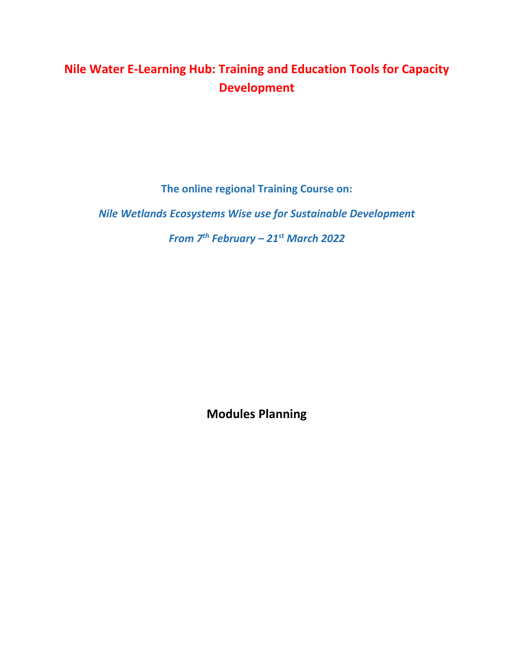# **Nile Water E-Learning Hub: Training and Education Tools for Capacity Development**

**The online regional Training Course on:**

*Nile Wetlands Ecosystems Wise use for Sustainable Development*

*From 7th February – 21st March 2022*

**Modules Planning**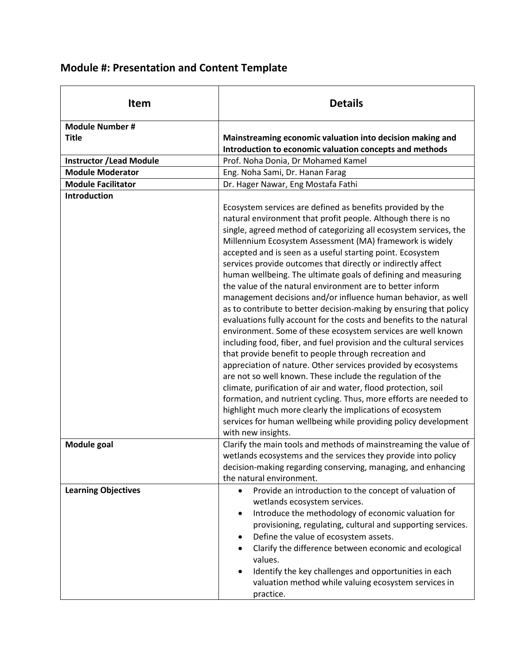| <b>Module #: Presentation and Content Template</b> |  |
|----------------------------------------------------|--|
|----------------------------------------------------|--|

| <b>Item</b>                     | <b>Details</b>                                                                                                                                                                                                                                                                                                                                                                                                                                                                                                                                                                                                                                                                                                                                                                                                                                                                                                                                                                                                                                                                                                                                                                                                                                                                                                                                                    |
|---------------------------------|-------------------------------------------------------------------------------------------------------------------------------------------------------------------------------------------------------------------------------------------------------------------------------------------------------------------------------------------------------------------------------------------------------------------------------------------------------------------------------------------------------------------------------------------------------------------------------------------------------------------------------------------------------------------------------------------------------------------------------------------------------------------------------------------------------------------------------------------------------------------------------------------------------------------------------------------------------------------------------------------------------------------------------------------------------------------------------------------------------------------------------------------------------------------------------------------------------------------------------------------------------------------------------------------------------------------------------------------------------------------|
| <b>Module Number#</b>           |                                                                                                                                                                                                                                                                                                                                                                                                                                                                                                                                                                                                                                                                                                                                                                                                                                                                                                                                                                                                                                                                                                                                                                                                                                                                                                                                                                   |
| <b>Title</b>                    | Mainstreaming economic valuation into decision making and                                                                                                                                                                                                                                                                                                                                                                                                                                                                                                                                                                                                                                                                                                                                                                                                                                                                                                                                                                                                                                                                                                                                                                                                                                                                                                         |
|                                 | Introduction to economic valuation concepts and methods                                                                                                                                                                                                                                                                                                                                                                                                                                                                                                                                                                                                                                                                                                                                                                                                                                                                                                                                                                                                                                                                                                                                                                                                                                                                                                           |
| <b>Instructor / Lead Module</b> | Prof. Noha Donia, Dr Mohamed Kamel                                                                                                                                                                                                                                                                                                                                                                                                                                                                                                                                                                                                                                                                                                                                                                                                                                                                                                                                                                                                                                                                                                                                                                                                                                                                                                                                |
| <b>Module Moderator</b>         | Eng. Noha Sami, Dr. Hanan Farag                                                                                                                                                                                                                                                                                                                                                                                                                                                                                                                                                                                                                                                                                                                                                                                                                                                                                                                                                                                                                                                                                                                                                                                                                                                                                                                                   |
| <b>Module Facilitator</b>       | Dr. Hager Nawar, Eng Mostafa Fathi                                                                                                                                                                                                                                                                                                                                                                                                                                                                                                                                                                                                                                                                                                                                                                                                                                                                                                                                                                                                                                                                                                                                                                                                                                                                                                                                |
| <b>Introduction</b>             | Ecosystem services are defined as benefits provided by the<br>natural environment that profit people. Although there is no<br>single, agreed method of categorizing all ecosystem services, the<br>Millennium Ecosystem Assessment (MA) framework is widely<br>accepted and is seen as a useful starting point. Ecosystem<br>services provide outcomes that directly or indirectly affect<br>human wellbeing. The ultimate goals of defining and measuring<br>the value of the natural environment are to better inform<br>management decisions and/or influence human behavior, as well<br>as to contribute to better decision-making by ensuring that policy<br>evaluations fully account for the costs and benefits to the natural<br>environment. Some of these ecosystem services are well known<br>including food, fiber, and fuel provision and the cultural services<br>that provide benefit to people through recreation and<br>appreciation of nature. Other services provided by ecosystems<br>are not so well known. These include the regulation of the<br>climate, purification of air and water, flood protection, soil<br>formation, and nutrient cycling. Thus, more efforts are needed to<br>highlight much more clearly the implications of ecosystem<br>services for human wellbeing while providing policy development<br>with new insights. |
| <b>Module goal</b>              | Clarify the main tools and methods of mainstreaming the value of<br>wetlands ecosystems and the services they provide into policy<br>decision-making regarding conserving, managing, and enhancing                                                                                                                                                                                                                                                                                                                                                                                                                                                                                                                                                                                                                                                                                                                                                                                                                                                                                                                                                                                                                                                                                                                                                                |
| <b>Learning Objectives</b>      | the natural environment.<br>Provide an introduction to the concept of valuation of<br>$\bullet$<br>wetlands ecosystem services.<br>Introduce the methodology of economic valuation for<br>$\bullet$<br>provisioning, regulating, cultural and supporting services.<br>Define the value of ecosystem assets.<br>$\bullet$<br>Clarify the difference between economic and ecological<br>values.<br>Identify the key challenges and opportunities in each<br>valuation method while valuing ecosystem services in<br>practice.                                                                                                                                                                                                                                                                                                                                                                                                                                                                                                                                                                                                                                                                                                                                                                                                                                       |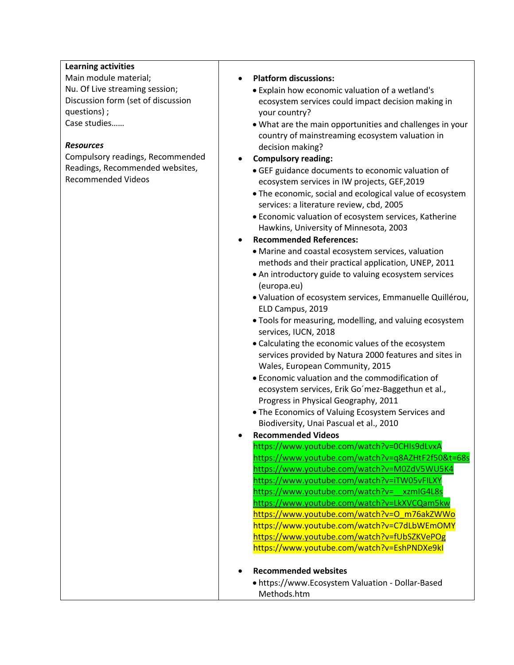## **Learning activities**

Main module material; Nu. Of Live streaming session; Discussion form (set of discussion questions) ; Case studies……

### *Resources*

Compulsory readings, Recommended Readings, Recommended websites, Recommended Videos

#### **Platform discussions:**

- Explain how economic valuation of a wetland's ecosystem services could impact decision making in your country?
- What are the main opportunities and challenges in your country of mainstreaming ecosystem valuation in decision making?
- **Compulsory reading:**
	- GEF guidance documents to economic valuation of ecosystem services in IW projects, GEF,2019
	- The economic, social and ecological value of ecosystem services: a literature review, cbd, 2005
	- Economic valuation of ecosystem services, Katherine Hawkins, University of Minnesota, 2003
- **Recommended References:**
	- Marine and coastal ecosystem services, valuation methods and their practical application, UNEP, 2011
	- [An introductory guide to valuing ecosystem services](https://ec.europa.eu/environment/nature/biodiversity/economics/pdf/valuing_ecosystems.pdf)  [\(europa.eu\)](https://ec.europa.eu/environment/nature/biodiversity/economics/pdf/valuing_ecosystems.pdf)
	- Valuation of ecosystem services, Emmanuelle Quillérou, ELD Campus, 2019
	- Tools for measuring, modelling, and valuing ecosystem services, IUCN, 2018
	- Calculating the economic values of the ecosystem services provided by Natura 2000 features and sites in Wales, European Community, 2015
	- Economic valuation and the commodification of ecosystem services, Erik Go´mez-Baggethun et al., Progress in Physical Geography, 2011
	- The Economics of Valuing Ecosystem Services and Biodiversity[, Unai Pascual](https://www.researchgate.net/profile/Unai-Pascual) et al., 2010
- **Recommended Videos** 
	- https://www.youtube.com/watch?v=0CHIs9dLvxA <https://www.youtube.com/watch?v=q8AZHtF2f50&t=68s> <https://www.youtube.com/watch?v=M0ZdV5WU5K4> <https://www.youtube.com/watch?v=iTW05vFILXY> https://www.youtube.com/watch?v= xzmIG4L8s <https://www.youtube.com/watch?v=LkXVCQam5kw> [https://www.youtube.com/watch?v=O\\_m76akZWWo](https://www.youtube.com/watch?v=O_m76akZWWo) https://www.youtube.com/watch?v=C7dLbWEmOMY <https://www.youtube.com/watch?v=fUbSZKVePOg> https://www.youtube.com/watch?v=EshPNDXe9kI

## **Recommended websites**

 https://www[.Ecosystem Valuation -](https://www.ecosystemvaluation.org/dollar_based.htm) Dollar-Based [Methods.](https://www.ecosystemvaluation.org/dollar_based.htm)htm